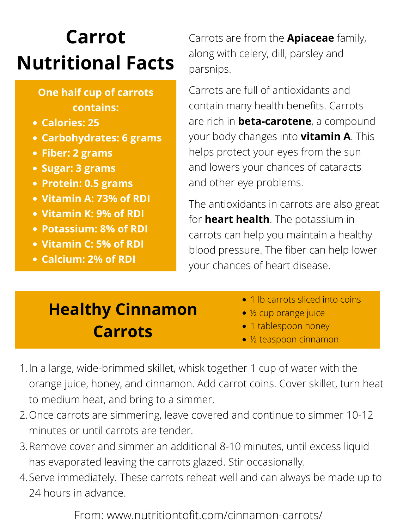## **Carrot Nutritional Facts**

- **Calories: 25**
- **Carbohydrates: 6 grams**
- **Fiber: 2 grams**
- **Sugar: 3 grams**
- **[Protein:](https://www.webmd.com/fitness-exercise/guide/good-protein-sources) 0.5 grams**
- **V[itamin](https://www.webmd.com/vitamins-supplements/ingredientmono-964-vitamin+a.aspx?activeingredientid=964&activeingredientname=vitamin+a) A: 73% of RDI**
- **V[itamin](https://www.webmd.com/vitamins-supplements/ingredientmono-983-vitamin+k.aspx?activeingredientid=983&activeingredientname=vitamin+k) K: 9% of RDI**
- **[Potassium](https://www.webmd.com/diet/supplement-guide-potassium): 8% of RDI**
- **V[itamin](https://www.webmd.com/vitamins-supplements/ingredientmono-1001-vitamin+c+ascorbic+acid.aspx?activeingredientid=1001&activeingredientname=vitamin+c+(ascorbic+acid)) C: 5% of RDI**
- **[Calcium](https://www.webmd.com/drugs/2/drug-1575/calcium+oral/details): 2% of RDI**

## **One half cup of carrots contains:**

Carrots are from the **Apiaceae** family, along with celery, dill, parsley and parsnips.

Carrots are full of antioxidants and contain many health benefits. Carrots are rich in **beta-[carotene](https://www.webmd.com/vitamins-supplements/ingredientmono-999-beta-carotene.aspx?activeingredientid=999&activeingredientname=beta-carotene)**, a compound your body changes into **vitamin A**. This helps protect your [eyes](https://www.webmd.com/eye-health/eye-assessment/default.htm) from the sun and lowers your chances of [cataracts](https://www.webmd.com/eye-health/cataracts/) and other eye [problems](https://www.webmd.com/eye-health/common-eye-problems).

- 1 lb carrots sliced into coins
- ½ cup orange juice
- 1 tablespoon honey
- ½ teaspoon cinnamon
- 1. In a large, wide-brimmed skillet, whisk together 1 cup of water with the orange juice, honey, and cinnamon. Add carrot coins. Cover skillet, turn heat to medium heat, and bring to a simmer.
- 2. Once carrots are simmering, leave covered and continue to simmer 10-12 minutes or until carrots are tender.
- 3. Remove cover and simmer an additional 8-10 minutes, until excess liquid has evaporated leaving the carrots glazed. Stir occasionally.
- 4. Serve immediately. These carrots reheat well and can always be made up to 24 hours in advance.

The antioxidants in carrots are also great for **heart health**. The potassium in carrots can help you maintain a healthy blood pressure. The fiber can help lower your chances of heart disease.

From: www.nutritiontofit.com/cinnamon-carrots/

## **Healthy Cinnamon Carrots**